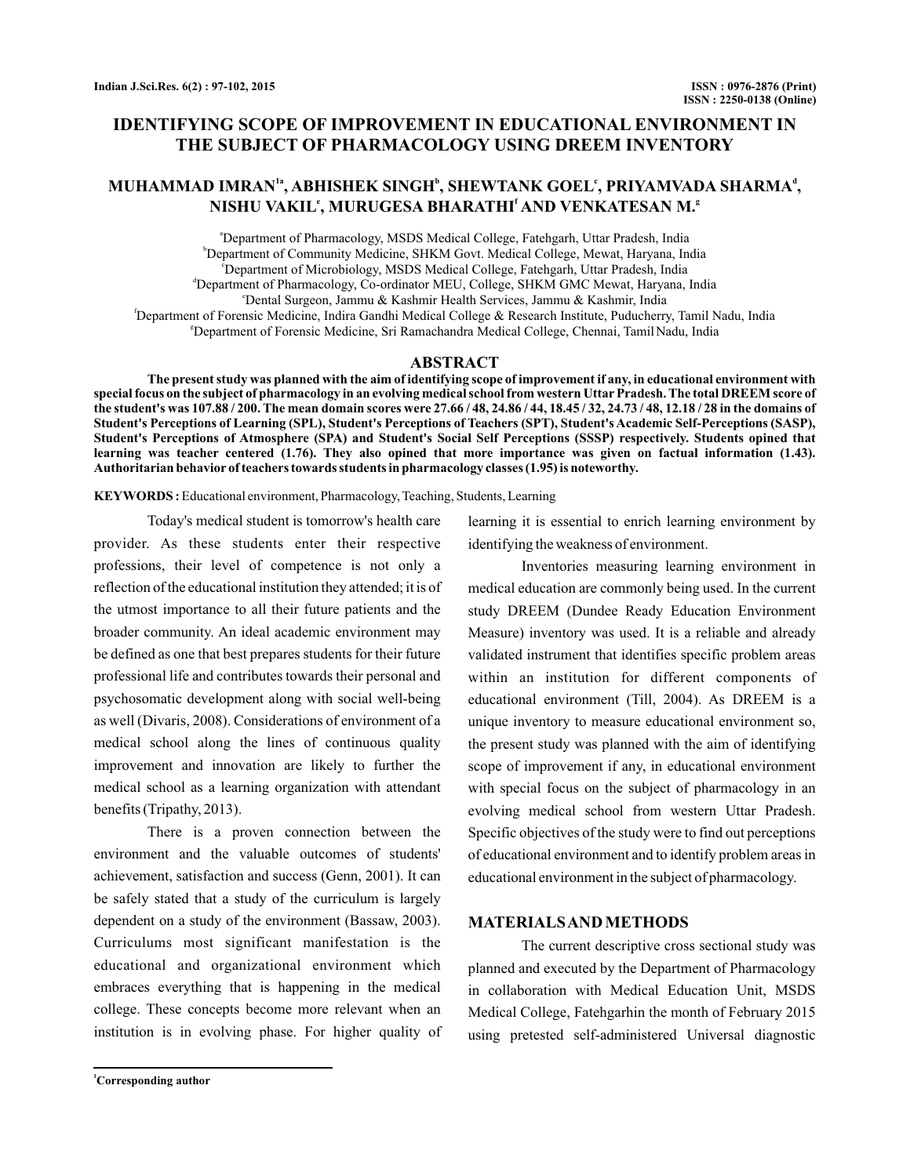# **IDENTIFYING SCOPE OF IMPROVEMENT IN EDUCATIONAL ENVIRONMENT IN THE SUBJECT OF PHARMACOLOGY USING DREEM INVENTORY**

# **MUHAMMAD IMRAN , ABHISHEK SINGH , SHEWTANK GOEL , PRIYAMVADA SHARMA , 1a b c d NISHU VAKIL , MURUGESA BHARATHI AND VENKATESAN M. e f g**

a Department of Pharmacology, MSDS Medical College, Fatehgarh, Uttar Pradesh, India b Department of Community Medicine, SHKM Govt. Medical College, Mewat, Haryana, India c Department of Microbiology, MSDS Medical College, Fatehgarh, Uttar Pradesh, India d Department of Pharmacology, Co-ordinator MEU, College, SHKM GMC Mewat, Haryana, India e Dental Surgeon, Jammu & Kashmir Health Services, Jammu & Kashmir, India f Department of Forensic Medicine, Indira Gandhi Medical College & Research Institute, Puducherry, Tamil Nadu, India g Department of Forensic Medicine, Sri Ramachandra Medical College, Chennai, TamilNadu, India

### **ABSTRACT**

**The present study was planned with the aim of identifying scope of improvement if any, in educational environment with special focus on the subject of pharmacology in an evolving medical school from western Uttar Pradesh. The total DREEM score of the student's was 107.88 / 200. The mean domain scores were 27.66 / 48, 24.86 / 44, 18.45 / 32, 24.73 / 48, 12.18 / 28 in the domains of Student's Perceptions of Learning (SPL), Student's Perceptions of Teachers (SPT), Student's Academic Self-Perceptions (SASP), Student's Perceptions of Atmosphere (SPA) and Student's Social Self Perceptions (SSSP) respectively. Students opined that learning was teacher centered (1.76). They also opined that more importance was given on factual information (1.43). Authoritarian behavior of teachers towards students in pharmacology classes (1.95) is noteworthy.**

**KEYWORDS :** Educational environment, Pharmacology, Teaching, Students, Learning

Today's medical student is tomorrow's health care provider. As these students enter their respective professions, their level of competence is not only a reflection of the educational institution they attended; it is of the utmost importance to all their future patients and the broader community. An ideal academic environment may be defined as one that best prepares students for their future professional life and contributes towards their personal and psychosomatic development along with social well-being as well (Divaris, 2008). Considerations of environment of a medical school along the lines of continuous quality improvement and innovation are likely to further the medical school as a learning organization with attendant benefits (Tripathy, 2013).

There is a proven connection between the environment and the valuable outcomes of students' achievement, satisfaction and success (Genn, 2001). It can be safely stated that a study of the curriculum is largely dependent on a study of the environment (Bassaw, 2003). Curriculums most significant manifestation is the educational and organizational environment which embraces everything that is happening in the medical college. These concepts become more relevant when an institution is in evolving phase. For higher quality of

**<sup>1</sup>Corresponding author**

learning it is essential to enrich learning environment by identifying the weakness of environment.

Inventories measuring learning environment in medical education are commonly being used. In the current study DREEM (Dundee Ready Education Environment Measure) inventory was used. It is a reliable and already validated instrument that identifies specific problem areas within an institution for different components of educational environment (Till, 2004). As DREEM is a unique inventory to measure educational environment so, the present study was planned with the aim of identifying scope of improvement if any, in educational environment with special focus on the subject of pharmacology in an evolving medical school from western Uttar Pradesh. Specific objectives of the study were to find out perceptions of educational environment and to identify problem areas in educational environment in the subject of pharmacology.

# **MATERIALSAND METHODS**

The current descriptive cross sectional study was planned and executed by the Department of Pharmacology in collaboration with Medical Education Unit, MSDS Medical College, Fatehgarhin the month of February 2015 using pretested self-administered Universal diagnostic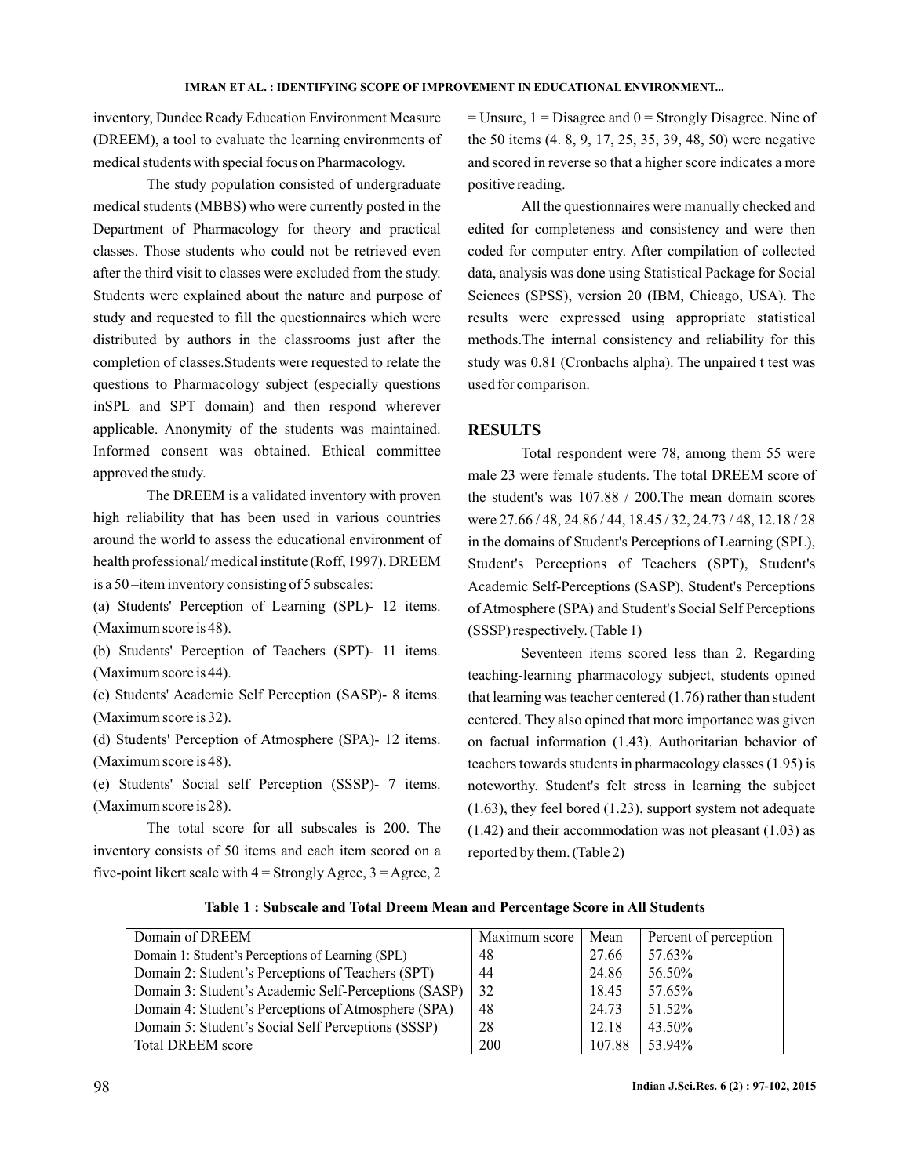inventory, Dundee Ready Education Environment Measure (DREEM), a tool to evaluate the learning environments of medical students with special focus on Pharmacology.

The study population consisted of undergraduate medical students (MBBS) who were currently posted in the Department of Pharmacology for theory and practical classes. Those students who could not be retrieved even after the third visit to classes were excluded from the study. Students were explained about the nature and purpose of study and requested to fill the questionnaires which were distributed by authors in the classrooms just after the completion of classes.Students were requested to relate the questions to Pharmacology subject (especially questions inSPL and SPT domain) and then respond wherever applicable. Anonymity of the students was maintained. Informed consent was obtained. Ethical committee approved the study.

The DREEM is a validated inventory with proven high reliability that has been used in various countries around the world to assess the educational environment of health professional/ medical institute (Roff, 1997). DREEM is a 50 –item inventory consisting of 5 subscales:

(a) Students' Perception of Learning (SPL)- 12 items. (Maximum score is 48).

(b) Students' Perception of Teachers (SPT)- 11 items. (Maximum score is 44).

(c) Students' Academic Self Perception (SASP)- 8 items. (Maximum score is 32).

(d) Students' Perception of Atmosphere (SPA)- 12 items. (Maximum score is 48).

(e) Students' Social self Perception (SSSP)- 7 items. (Maximum score is 28).

The total score for all subscales is 200. The inventory consists of 50 items and each item scored on a five-point likert scale with  $4 =$  Strongly Agree,  $3 =$  Agree, 2

 $=$  Unsure,  $1 =$  Disagree and  $0 =$  Strongly Disagree. Nine of the 50 items (4. 8, 9, 17, 25, 35, 39, 48, 50) were negative and scored in reverse so that a higher score indicates a more positive reading.

All the questionnaires were manually checked and edited for completeness and consistency and were then coded for computer entry. After compilation of collected data, analysis was done using Statistical Package for Social Sciences (SPSS), version 20 (IBM, Chicago, USA). The results were expressed using appropriate statistical methods.The internal consistency and reliability for this study was 0.81 (Cronbachs alpha). The unpaired t test was used for comparison.

### **RESULTS**

Total respondent were 78, among them 55 were male 23 were female students. The total DREEM score of the student's was 107.88 / 200.The mean domain scores were 27.66 / 48, 24.86 / 44, 18.45 / 32, 24.73 / 48, 12.18 / 28 in the domains of Student's Perceptions of Learning (SPL), Student's Perceptions of Teachers (SPT), Student's Academic Self-Perceptions (SASP), Student's Perceptions of Atmosphere (SPA) and Student's Social Self Perceptions (SSSP) respectively. (Table 1)

Seventeen items scored less than 2. Regarding teaching-learning pharmacology subject, students opined that learning was teacher centered (1.76) rather than student centered. They also opined that more importance was given on factual information (1.43). Authoritarian behavior of teachers towards students in pharmacology classes (1.95) is noteworthy. Student's felt stress in learning the subject (1.63), they feel bored (1.23), support system not adequate (1.42) and their accommodation was not pleasant (1.03) as reported by them. (Table 2)

**Table 1 : Subscale and Total Dreem Mean and Percentage Score in All Students**

| Domain of DREEM                                      | Maximum score | Mean   | Percent of perception |
|------------------------------------------------------|---------------|--------|-----------------------|
| Domain 1: Student's Perceptions of Learning (SPL)    | 48            | 27.66  | 57.63%                |
| Domain 2: Student's Perceptions of Teachers (SPT)    | 44            | 24.86  | 56.50%                |
| Domain 3: Student's Academic Self-Perceptions (SASP) | 32            | 18.45  | 57.65%                |
| Domain 4: Student's Perceptions of Atmosphere (SPA)  | -48           | 24.73  | 51.52%                |
| Domain 5: Student's Social Self Perceptions (SSSP)   | 28            | 12.18  | 43.50%                |
| <b>Total DREEM</b> score                             | 200           | 107.88 | 53.94%                |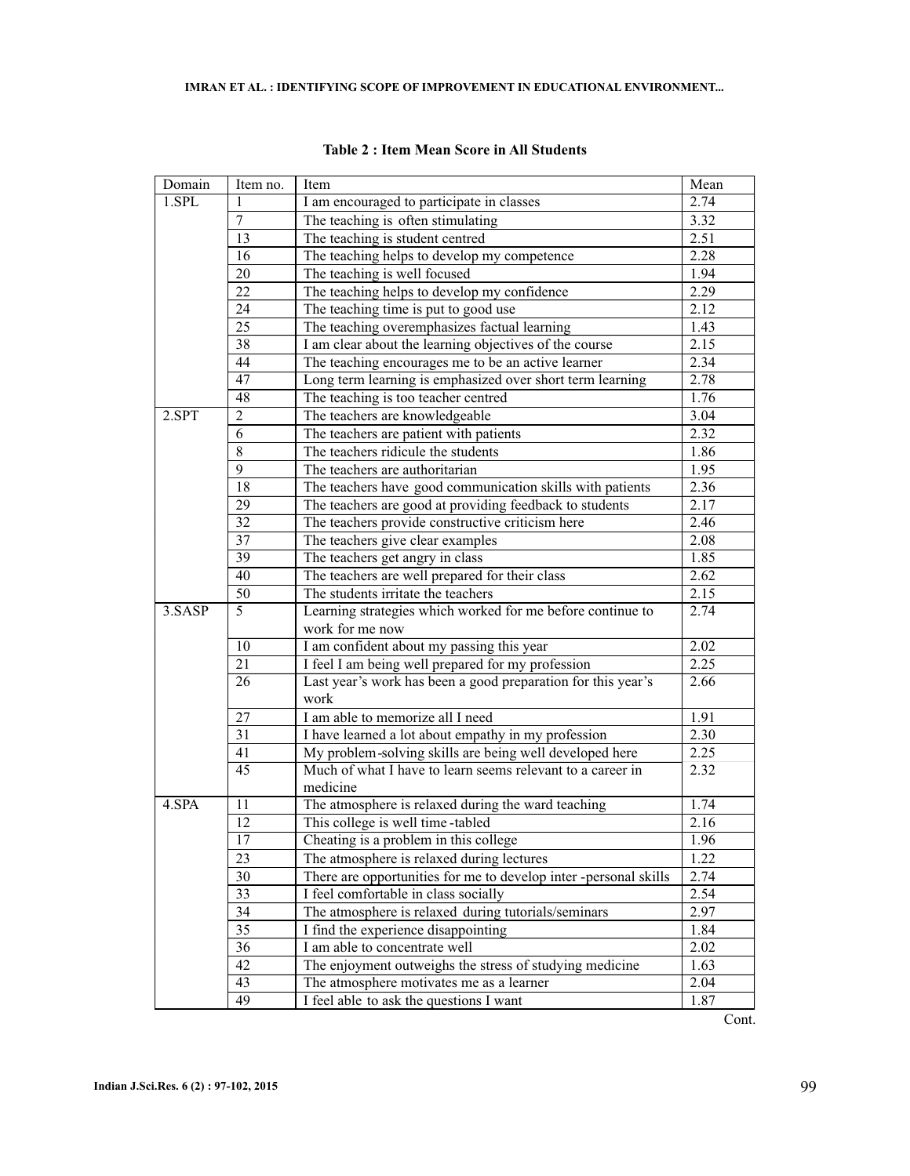| Domain | Item no.                                                                                                                 | Item                                                             | Mean         |
|--------|--------------------------------------------------------------------------------------------------------------------------|------------------------------------------------------------------|--------------|
| 1.SPL  | I am encouraged to participate in classes                                                                                |                                                                  | 2.74         |
|        | 7                                                                                                                        | The teaching is often stimulating                                | 3.32         |
|        | 13                                                                                                                       | The teaching is student centred                                  | 2.51         |
|        | 16                                                                                                                       | The teaching helps to develop my competence                      | 2.28         |
|        | 20                                                                                                                       | The teaching is well focused                                     | 1.94         |
|        | 22                                                                                                                       | The teaching helps to develop my confidence                      | 2.29         |
|        | 24                                                                                                                       | The teaching time is put to good use                             | 2.12         |
|        | 25                                                                                                                       | The teaching overemphasizes factual learning                     | 1.43         |
|        | 38<br>I am clear about the learning objectives of the course<br>44<br>The teaching encourages me to be an active learner |                                                                  | 2.15         |
|        |                                                                                                                          |                                                                  | 2.34         |
| 47     |                                                                                                                          | Long term learning is emphasized over short term learning        | 2.78         |
|        | 48                                                                                                                       | The teaching is too teacher centred                              | 1.76         |
| 2.SPT  | 2                                                                                                                        | The teachers are knowledgeable                                   | 3.04         |
|        | 6                                                                                                                        | The teachers are patient with patients                           | 2.32         |
|        | 8                                                                                                                        | The teachers ridicule the students                               | 1.86         |
|        | 9                                                                                                                        | The teachers are authoritarian                                   | 1.95         |
|        | 18                                                                                                                       | The teachers have good communication skills with patients        | 2.36         |
|        | 29                                                                                                                       | The teachers are good at providing feedback to students          | 2.17         |
|        | 32                                                                                                                       | The teachers provide constructive criticism here                 | 2.46         |
|        | $\overline{37}$                                                                                                          | The teachers give clear examples                                 | 2.08         |
|        | 39                                                                                                                       | The teachers get angry in class                                  | 1.85         |
|        | 40                                                                                                                       | The teachers are well prepared for their class                   | 2.62         |
|        | $\overline{50}$                                                                                                          | The students irritate the teachers                               | 2.15         |
| 3.SASP | $\overline{5}$                                                                                                           | Learning strategies which worked for me before continue to       | 2.74         |
|        |                                                                                                                          | work for me now                                                  |              |
|        | 10                                                                                                                       | I am confident about my passing this year                        | 2.02         |
|        | 21                                                                                                                       | I feel I am being well prepared for my profession                | 2.25         |
|        | 26                                                                                                                       | Last year's work has been a good preparation for this year's     | 2.66         |
| work   |                                                                                                                          |                                                                  |              |
|        | 27                                                                                                                       | I am able to memorize all I need                                 | 1.91         |
|        | 31                                                                                                                       | I have learned a lot about empathy in my profession              | 2.30         |
|        | 41                                                                                                                       | My problem-solving skills are being well developed here          | 2.25         |
|        | $\overline{45}$                                                                                                          | Much of what I have to learn seems relevant to a career in       | 2.32         |
|        |                                                                                                                          | medicine                                                         |              |
| 4.SPA  | 11                                                                                                                       | The atmosphere is relaxed during the ward teaching               | 1.74         |
|        | 12                                                                                                                       | This college is well time-tabled                                 | 2.16         |
|        | $17\,$                                                                                                                   | Cheating is a problem in this college                            | 1.96         |
|        | 23                                                                                                                       | The atmosphere is relaxed during lectures                        | 1.22         |
|        | 30                                                                                                                       | There are opportunities for me to develop inter -personal skills | 2.74         |
|        | 33                                                                                                                       | I feel comfortable in class socially                             | 2.54         |
|        | 34                                                                                                                       | The atmosphere is relaxed during tutorials/seminars              | 2.97         |
|        | 35                                                                                                                       | I find the experience disappointing                              | 1.84<br>2.02 |
|        | 36<br>I am able to concentrate well                                                                                      |                                                                  |              |
|        | 42                                                                                                                       | The enjoyment outweighs the stress of studying medicine          | 1.63         |
|        | 43                                                                                                                       | The atmosphere motivates me as a learner                         | 2.04         |
|        | 49                                                                                                                       | I feel able to ask the questions I want                          | 1.87         |

**Table 2 : Item Mean Score in All Students**

Cont.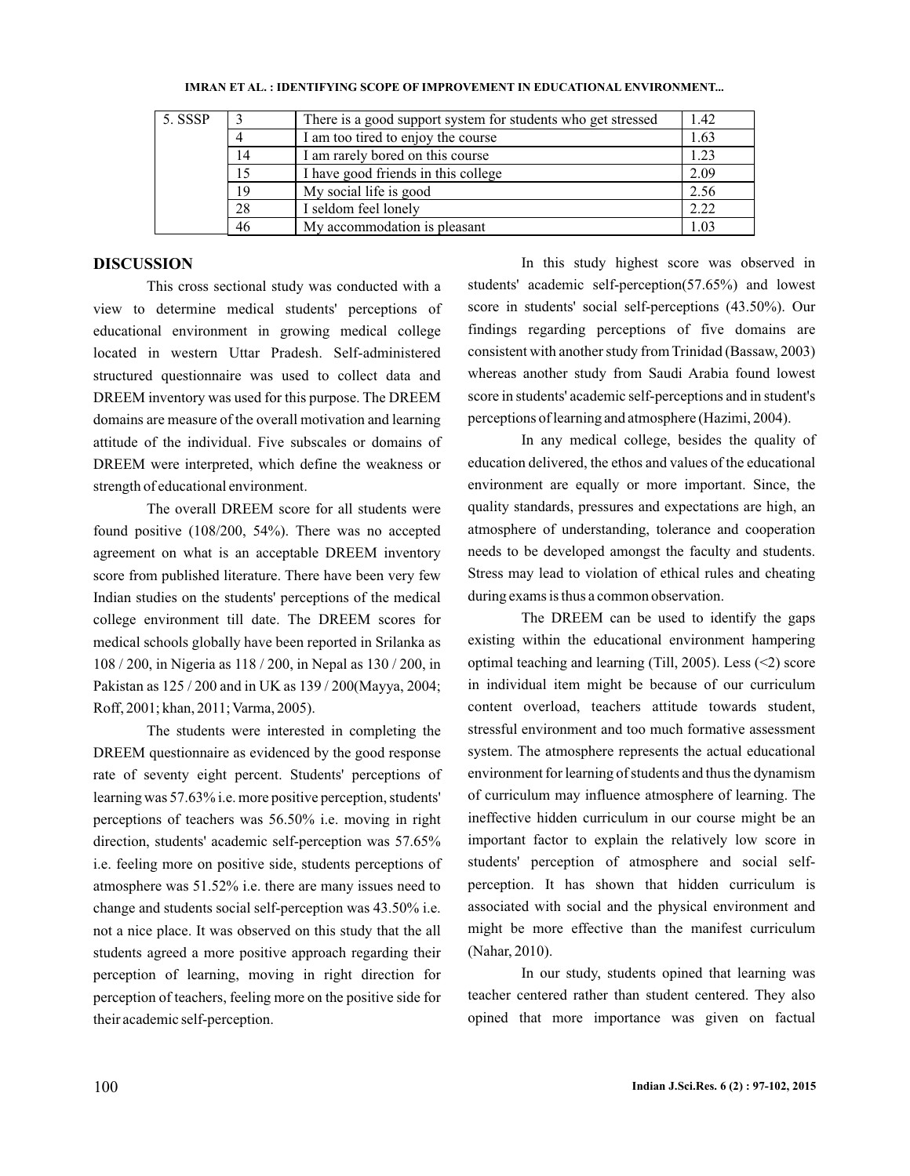| 5. SSSP |    | There is a good support system for students who get stressed | 1.42 |
|---------|----|--------------------------------------------------------------|------|
|         |    | I am too tired to enjoy the course                           | 1.63 |
|         | 14 | I am rarely bored on this course                             | 1.23 |
|         | 15 | I have good friends in this college                          | 2.09 |
|         | 19 | My social life is good                                       | 2.56 |
|         | 28 | I seldom feel lonely                                         | 2.22 |
|         | 46 | My accommodation is pleasant                                 | 1.03 |

#### **IMRAN ET AL. IDENTIFYING SCOPE OF IMPROVEMENT IN EDUCATIONAL ENVIRONMENT... :**

# **DISCUSSION**

This cross sectional study was conducted with a view to determine medical students' perceptions of educational environment in growing medical college located in western Uttar Pradesh. Self-administered structured questionnaire was used to collect data and DREEM inventory was used for this purpose. The DREEM domains are measure of the overall motivation and learning attitude of the individual. Five subscales or domains of DREEM were interpreted, which define the weakness or strength of educational environment.

The overall DREEM score for all students were found positive (108/200, 54%). There was no accepted agreement on what is an acceptable DREEM inventory score from published literature. There have been very few Indian studies on the students' perceptions of the medical college environment till date. The DREEM scores for medical schools globally have been reported in Srilanka as 108 / 200, in Nigeria as 118 / 200, in Nepal as 130 / 200, in Pakistan as 125 / 200 and in UK as 139 / 200(Mayya, 2004; Roff, 2001; khan, 2011; Varma, 2005).

The students were interested in completing the DREEM questionnaire as evidenced by the good response rate of seventy eight percent. Students' perceptions of learning was 57.63% i.e. more positive perception, students' perceptions of teachers was 56.50% i.e. moving in right direction, students' academic self-perception was 57.65% i.e. feeling more on positive side, students perceptions of atmosphere was 51.52% i.e. there are many issues need to change and students social self-perception was 43.50% i.e. not a nice place. It was observed on this study that the all students agreed a more positive approach regarding their perception of learning, moving in right direction for perception of teachers, feeling more on the positive side for their academic self-perception.

In this study highest score was observed in students' academic self-perception(57.65%) and lowest score in students' social self-perceptions (43.50%). Our findings regarding perceptions of five domains are consistent with another study from Trinidad (Bassaw, 2003) whereas another study from Saudi Arabia found lowest score in students' academic self-perceptions and in student's perceptions of learning and atmosphere (Hazimi, 2004).

In any medical college, besides the quality of education delivered, the ethos and values of the educational environment are equally or more important. Since, the quality standards, pressures and expectations are high, an atmosphere of understanding, tolerance and cooperation needs to be developed amongst the faculty and students. Stress may lead to violation of ethical rules and cheating during exams is thus a common observation.

The DREEM can be used to identify the gaps existing within the educational environment hampering optimal teaching and learning (Till, 2005). Less (<2) score in individual item might be because of our curriculum content overload, teachers attitude towards student, stressful environment and too much formative assessment system. The atmosphere represents the actual educational environment for learning of students and thus the dynamism of curriculum may influence atmosphere of learning. The ineffective hidden curriculum in our course might be an important factor to explain the relatively low score in students' perception of atmosphere and social selfperception. It has shown that hidden curriculum is associated with social and the physical environment and might be more effective than the manifest curriculum (Nahar, 2010).

In our study, students opined that learning was teacher centered rather than student centered. They also opined that more importance was given on factual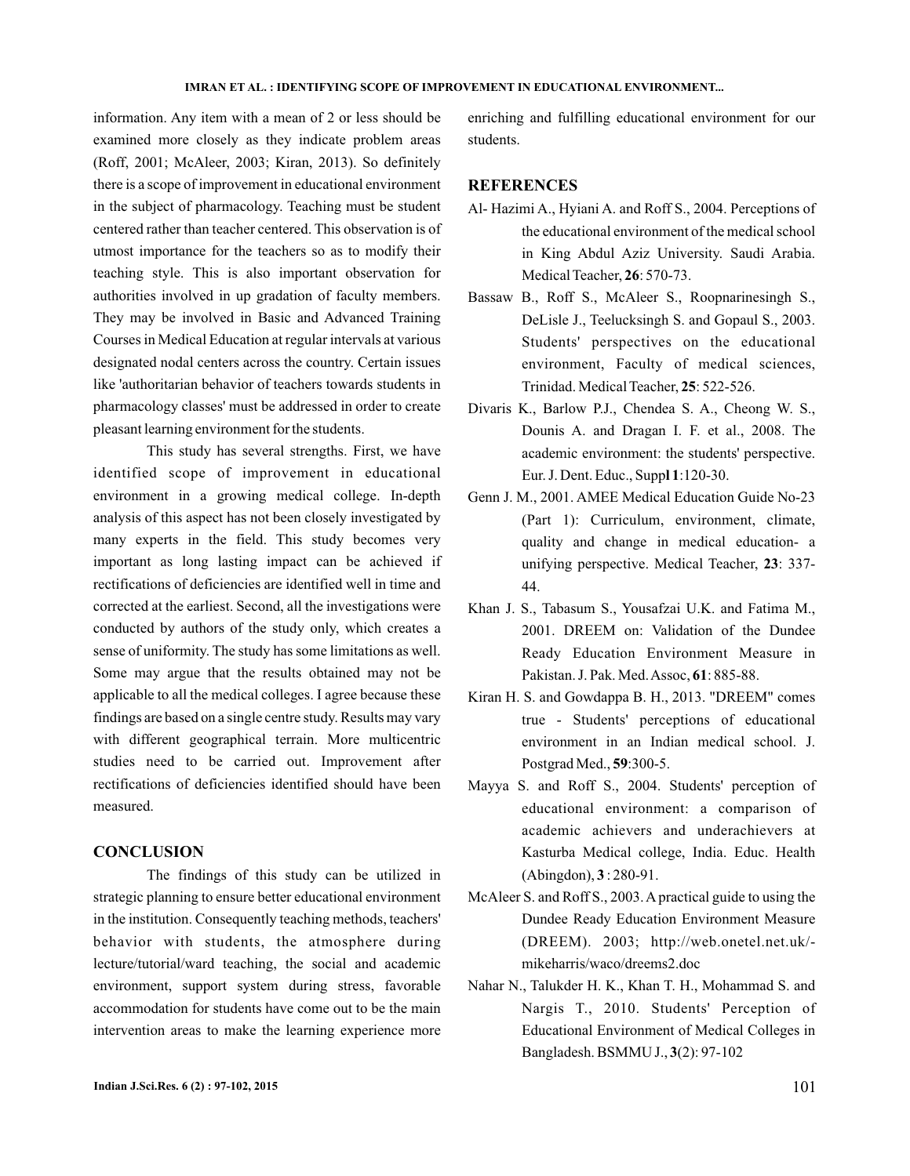#### **IMRAN ET AL. IDENTIFYING SCOPE OF IMPROVEMENT IN EDUCATIONAL ENVIRONMENT... :**

information. Any item with a mean of 2 or less should be examined more closely as they indicate problem areas (Roff, 2001; McAleer, 2003; Kiran, 2013). So definitely there is a scope of improvement in educational environment in the subject of pharmacology. Teaching must be student centered rather than teacher centered. This observation is of utmost importance for the teachers so as to modify their teaching style. This is also important observation for authorities involved in up gradation of faculty members. They may be involved in Basic and Advanced Training Courses in Medical Education at regular intervals at various designated nodal centers across the country. Certain issues like 'authoritarian behavior of teachers towards students in pharmacology classes' must be addressed in order to create pleasant learning environment for the students.

This study has several strengths. First, we have identified scope of improvement in educational environment in a growing medical college. In-depth analysis of this aspect has not been closely investigated by many experts in the field. This study becomes very important as long lasting impact can be achieved if rectifications of deficiencies are identified well in time and corrected at the earliest. Second, all the investigations were conducted by authors of the study only, which creates a sense of uniformity. The study has some limitations as well. Some may argue that the results obtained may not be applicable to all the medical colleges. I agree because these findings are based on a single centre study. Results may vary with different geographical terrain. More multicentric studies need to be carried out. Improvement after rectifications of deficiencies identified should have been measured.

# **CONCLUSION**

The findings of this study can be utilized in strategic planning to ensure better educational environment in the institution. Consequently teaching methods, teachers' behavior with students, the atmosphere during lecture/tutorial/ward teaching, the social and academic environment, support system during stress, favorable accommodation for students have come out to be the main intervention areas to make the learning experience more

enriching and fulfilling educational environment for our students.

# **REFERENCES**

- Al- Hazimi A., Hyiani A. and Roff S., 2004. Perceptions of the educational environment of the medical school in King Abdul Aziz University. Saudi Arabia. Medical Teacher, 26: 570-73.
- Bassaw B., Roff S., McAleer S., Roopnarinesingh S., DeLisle J., Teelucksingh S. and Gopaul S., 2003. Students' perspectives on the educational environment, Faculty of medical sciences, Trinidad. Medical Teacher, 25: 522-526.
- Divaris K., Barlow P.J., Chendea S. A., Cheong W. S., Dounis A. and Dragan I. F. et al., 2008. The academic environment: the students' perspective. Eur. J. Dent. Educ., Suppl 1:120-30.
- Genn J. M., 2001. AMEE Medical Education Guide No-23 (Part 1): Curriculum, environment, climate, quality and change in medical education- a unifying perspective. Medical Teacher, 23: 337-44.
- Khan J. S., Tabasum S., Yousafzai U.K. and Fatima M., 2001. DREEM on: Validation of the Dundee Ready Education Environment Measure in Pakistan. J. Pak. Med. Assoc, 61: 885-88.
- Kiran H. S. and Gowdappa B. H., 2013. "DREEM" comes true - Students' perceptions of educational environment in an Indian medical school. J. Postgrad Med., 59:300-5.
- Mayya S. and Roff S., 2004. Students' perception of educational environment: a comparison of academic achievers and underachievers at Kasturba Medical college, India. Educ. Health  $(Abingdon), 3: 280-91.$
- McAleer S. and Roff S., 2003. A practical guide to using the Dundee Ready Education Environment Measure (DREEM). 2003; http://web.onetel.net.uk/ mikeharris/waco/dreems2.doc
- Nahar N., Talukder H. K., Khan T. H., Mohammad S. and Nargis T., 2010. Students' Perception of Educational Environment of Medical Colleges in Bangladesh. BSMMU J., 3(2): 97-102